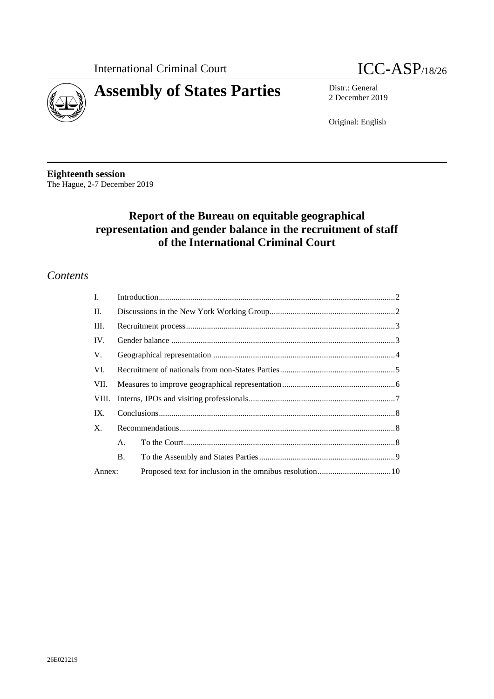



2 December 2019

Original: English

**Eighteenth session** The Hague, 2-7 December 2019

# **Report of the Bureau on equitable geographical representation and gender balance in the recruitment of staff of the International Criminal Court**

## *Contents*

| $\mathbf{I}$ . |    |  |  |
|----------------|----|--|--|
| П.             |    |  |  |
| III.           |    |  |  |
| IV.            |    |  |  |
| V.             |    |  |  |
| VI.            |    |  |  |
| VII.           |    |  |  |
| VIII.          |    |  |  |
| IX.            |    |  |  |
| X.             |    |  |  |
|                | A. |  |  |
|                | B. |  |  |
| Annex:         |    |  |  |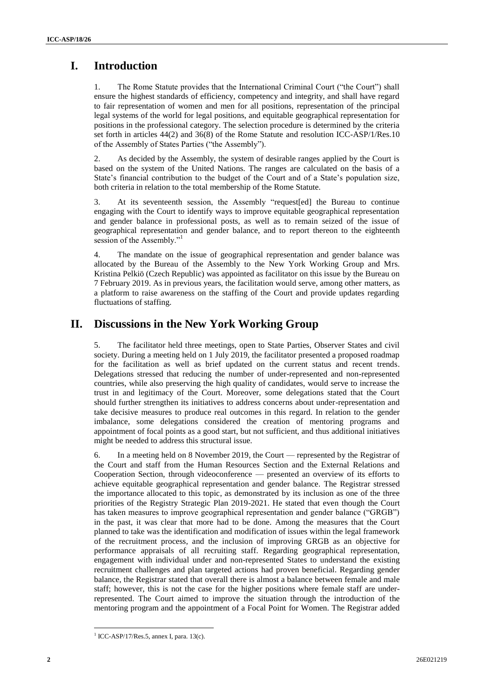# <span id="page-1-0"></span>**I. Introduction**

1. The Rome Statute provides that the International Criminal Court ("the Court") shall ensure the highest standards of efficiency, competency and integrity, and shall have regard to fair representation of women and men for all positions, representation of the principal legal systems of the world for legal positions, and equitable geographical representation for positions in the professional category. The selection procedure is determined by the criteria set forth in articles 44(2) and 36(8) of the Rome Statute and resolution ICC-ASP/1/Res.10 of the Assembly of States Parties ("the Assembly").

2. As decided by the Assembly, the system of desirable ranges applied by the Court is based on the system of the United Nations. The ranges are calculated on the basis of a State's financial contribution to the budget of the Court and of a State's population size, both criteria in relation to the total membership of the Rome Statute.

3. At its seventeenth session, the Assembly "request[ed] the Bureau to continue engaging with the Court to identify ways to improve equitable geographical representation and gender balance in professional posts, as well as to remain seized of the issue of geographical representation and gender balance, and to report thereon to the eighteenth session of the Assembly."<sup>1</sup>

4. The mandate on the issue of geographical representation and gender balance was allocated by the Bureau of the Assembly to the New York Working Group and Mrs. Kristina Pelkiö (Czech Republic) was appointed as facilitator on this issue by the Bureau on 7 February 2019. As in previous years, the facilitation would serve, among other matters, as a platform to raise awareness on the staffing of the Court and provide updates regarding fluctuations of staffing.

## <span id="page-1-1"></span>**II. Discussions in the New York Working Group**

5. The facilitator held three meetings, open to State Parties, Observer States and civil society. During a meeting held on 1 July 2019, the facilitator presented a proposed roadmap for the facilitation as well as brief updated on the current status and recent trends. Delegations stressed that reducing the number of under-represented and non-represented countries, while also preserving the high quality of candidates, would serve to increase the trust in and legitimacy of the Court. Moreover, some delegations stated that the Court should further strengthen its initiatives to address concerns about under-representation and take decisive measures to produce real outcomes in this regard. In relation to the gender imbalance, some delegations considered the creation of mentoring programs and appointment of focal points as a good start, but not sufficient, and thus additional initiatives might be needed to address this structural issue.

6. In a meeting held on 8 November 2019, the Court — represented by the Registrar of the Court and staff from the Human Resources Section and the External Relations and Cooperation Section, through videoconference — presented an overview of its efforts to achieve equitable geographical representation and gender balance. The Registrar stressed the importance allocated to this topic, as demonstrated by its inclusion as one of the three priorities of the Registry Strategic Plan 2019-2021. He stated that even though the Court has taken measures to improve geographical representation and gender balance ("GRGB") in the past, it was clear that more had to be done. Among the measures that the Court planned to take was the identification and modification of issues within the legal framework of the recruitment process, and the inclusion of improving GRGB as an objective for performance appraisals of all recruiting staff. Regarding geographical representation, engagement with individual under and non-represented States to understand the existing recruitment challenges and plan targeted actions had proven beneficial. Regarding gender balance, the Registrar stated that overall there is almost a balance between female and male staff; however, this is not the case for the higher positions where female staff are underrepresented. The Court aimed to improve the situation through the introduction of the mentoring program and the appointment of a Focal Point for Women. The Registrar added

 $<sup>1</sup>$  ICC-ASP/17/Res.5, annex I, para. 13(c).</sup>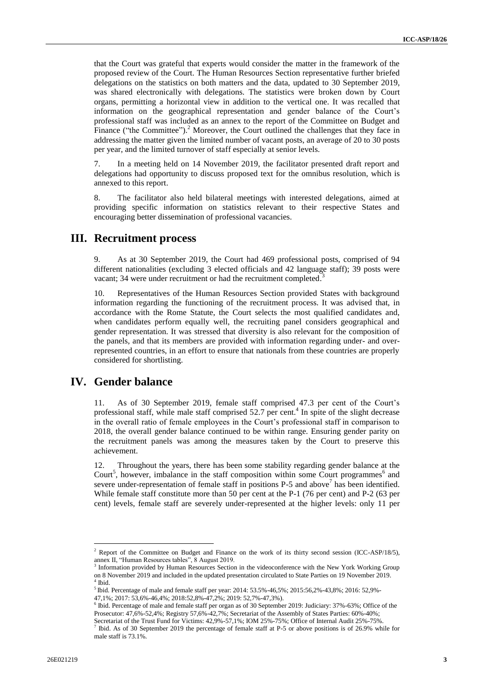that the Court was grateful that experts would consider the matter in the framework of the proposed review of the Court. The Human Resources Section representative further briefed delegations on the statistics on both matters and the data, updated to 30 September 2019, was shared electronically with delegations. The statistics were broken down by Court organs, permitting a horizontal view in addition to the vertical one. It was recalled that information on the geographical representation and gender balance of the Court's professional staff was included as an annex to the report of the Committee on Budget and Finance ("the Committee").<sup>2</sup> Moreover, the Court outlined the challenges that they face in addressing the matter given the limited number of vacant posts, an average of 20 to 30 posts per year, and the limited turnover of staff especially at senior levels.

7. In a meeting held on 14 November 2019, the facilitator presented draft report and delegations had opportunity to discuss proposed text for the omnibus resolution, which is annexed to this report.

8. The facilitator also held bilateral meetings with interested delegations, aimed at providing specific information on statistics relevant to their respective States and encouraging better dissemination of professional vacancies.

## <span id="page-2-0"></span>**III. Recruitment process**

9. As at 30 September 2019, the Court had 469 professional posts, comprised of 94 different nationalities (excluding 3 elected officials and 42 language staff); 39 posts were vacant; 34 were under recruitment or had the recruitment completed.<sup>3</sup>

10. Representatives of the Human Resources Section provided States with background information regarding the functioning of the recruitment process. It was advised that, in accordance with the Rome Statute, the Court selects the most qualified candidates and, when candidates perform equally well, the recruiting panel considers geographical and gender representation. It was stressed that diversity is also relevant for the composition of the panels, and that its members are provided with information regarding under- and overrepresented countries, in an effort to ensure that nationals from these countries are properly considered for shortlisting.

### <span id="page-2-1"></span>**IV. Gender balance**

As of 30 September 2019, female staff comprised 47.3 per cent of the Court's professional staff, while male staff comprised 52.7 per cent.<sup>4</sup> In spite of the slight decrease in the overall ratio of female employees in the Court's professional staff in comparison to 2018, the overall gender balance continued to be within range. Ensuring gender parity on the recruitment panels was among the measures taken by the Court to preserve this achievement.

12. Throughout the years, there has been some stability regarding gender balance at the Court<sup>5</sup>, however, imbalance in the staff composition within some Court programmes<sup>6</sup> and severe under-representation of female staff in positions  $P-5$  and above<sup>7</sup> has been identified. While female staff constitute more than 50 per cent at the P-1 (76 per cent) and P-2 (63 per cent) levels, female staff are severely under-represented at the higher levels: only 11 per

 $2^2$  Report of the Committee on Budget and Finance on the work of its thirty second session (ICC-ASP/18/5), annex II, "Human Resources tables", 8 August 2019.

<sup>&</sup>lt;sup>3</sup> Information provided by Human Resources Section in the videoconference with the New York Working Group on 8 November 2019 and included in the updated presentation circulated to State Parties on 19 November 2019.<br><sup>4</sup> Ibid Ibid.

<sup>5</sup> Ibid. Percentage of male and female staff per year: 2014: 53.5%-46,5%; 2015:56,2%-43,8%; 2016: 52,9%-

<sup>47,1%; 2017: 53,6%-46,4%; 2018:52,8%-47,2%; 2019: 52,7%-47,3%).</sup> 6 Ibid. Percentage of male and female staff per organ as of 30 September 2019: Judiciary: 37%-63%; Office of the Prosecutor: 47,6%-52,4%; Registry 57,6%-42,7%; Secretariat of the Assembly of States Parties: 60%-40%;

Secretariat of the Trust Fund for Victims: 42,9%-57,1%; IOM 25%-75%; Office of Internal Audit 25%-75%.<br><sup>7</sup> Ibid. As of 30 September 2010 the persontage of fomele staff at B.5 or above positions is of 26.0% wh Ibid. As of 30 September 2019 the percentage of female staff at P-5 or above positions is of 26.9% while for male staff is 73.1%.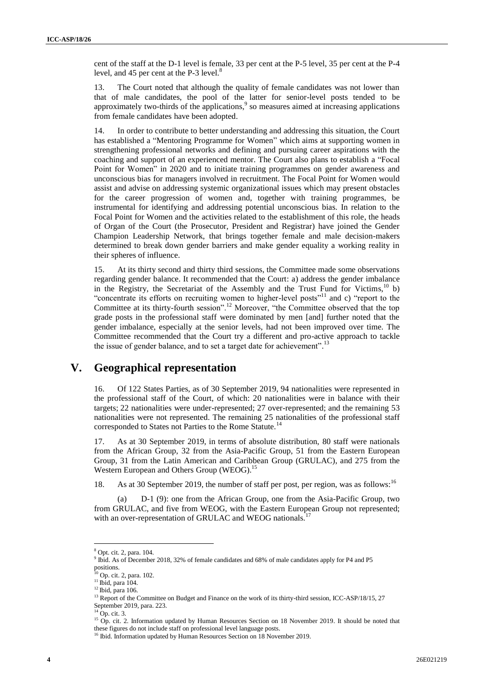cent of the staff at the D-1 level is female, 33 per cent at the P-5 level, 35 per cent at the P-4 level, and 45 per cent at the P-3 level.<sup>8</sup>

13. The Court noted that although the quality of female candidates was not lower than that of male candidates, the pool of the latter for senior-level posts tended to be approximately two-thirds of the applications,  $\degree$  so measures aimed at increasing applications from female candidates have been adopted.

14. In order to contribute to better understanding and addressing this situation, the Court has established a "Mentoring Programme for Women" which aims at supporting women in strengthening professional networks and defining and pursuing career aspirations with the coaching and support of an experienced mentor. The Court also plans to establish a "Focal Point for Women" in 2020 and to initiate training programmes on gender awareness and unconscious bias for managers involved in recruitment. The Focal Point for Women would assist and advise on addressing systemic organizational issues which may present obstacles for the career progression of women and, together with training programmes, be instrumental for identifying and addressing potential unconscious bias. In relation to the Focal Point for Women and the activities related to the establishment of this role, the heads of Organ of the Court (the Prosecutor, President and Registrar) have joined the Gender Champion Leadership Network, that brings together female and male decision-makers determined to break down gender barriers and make gender equality a working reality in their spheres of influence.

15. At its thirty second and thirty third sessions, the Committee made some observations regarding gender balance. It recommended that the Court: a) address the gender imbalance in the Registry, the Secretariat of the Assembly and the Trust Fund for Victims, $^{10}$  b) "concentrate its efforts on recruiting women to higher-level posts"<sup>11</sup> and c) "report to the Committee at its thirty-fourth session".<sup>12</sup> Moreover, "the Committee observed that the top grade posts in the professional staff were dominated by men [and] further noted that the gender imbalance, especially at the senior levels, had not been improved over time. The Committee recommended that the Court try a different and pro-active approach to tackle the issue of gender balance, and to set a target date for achievement".<sup>13</sup>

### <span id="page-3-0"></span>**V. Geographical representation**

16. Of 122 States Parties, as of 30 September 2019, 94 nationalities were represented in the professional staff of the Court, of which: 20 nationalities were in balance with their targets; 22 nationalities were under-represented; 27 over-represented; and the remaining 53 nationalities were not represented. The remaining 25 nationalities of the professional staff corresponded to States not Parties to the Rome Statute.<sup>14</sup>

17. As at 30 September 2019, in terms of absolute distribution, 80 staff were nationals from the African Group, 32 from the Asia-Pacific Group, 51 from the Eastern European Group, 31 from the Latin American and Caribbean Group (GRULAC), and 275 from the Western European and Others Group (WEOG).<sup>15</sup>

18. As at 30 September 2019, the number of staff per post, per region, was as follows:<sup>16</sup>

(a) D-1 (9): one from the African Group, one from the Asia-Pacific Group, two from GRULAC, and five from WEOG, with the Eastern European Group not represented; with an over-representation of GRULAC and WEOG nationals.

<sup>8</sup> Opt. cit. 2, para. 104.

<sup>9</sup> Ibid. As of December 2018, 32% of female candidates and 68% of male candidates apply for P4 and P5 positions.

<sup>&</sup>lt;sup>i0</sup> Op. cit. 2, para. 102.

<sup>&</sup>lt;sup>11</sup> Ibid, para 104.

<sup>&</sup>lt;sup>12</sup> Ibid, para 106.

<sup>&</sup>lt;sup>13</sup> Report of the Committee on Budget and Finance on the work of its thirty-third session, ICC-ASP/18/15, 27 September 2019, para. 223.

 $14$  Op. cit. 3.

<sup>&</sup>lt;sup>15</sup> Op. cit. 2. Information updated by Human Resources Section on 18 November 2019. It should be noted that these figures do not include staff on professional level language posts.

<sup>&</sup>lt;sup>16</sup> Ibid. Information updated by Human Resources Section on 18 November 2019.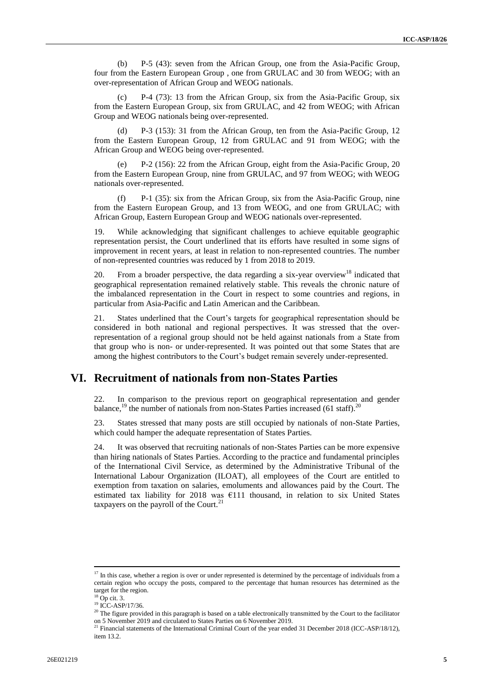(b) P-5 (43): seven from the African Group, one from the Asia-Pacific Group, four from the Eastern European Group , one from GRULAC and 30 from WEOG; with an over-representation of African Group and WEOG nationals.

(c) P-4 (73): 13 from the African Group, six from the Asia-Pacific Group, six from the Eastern European Group, six from GRULAC, and 42 from WEOG; with African Group and WEOG nationals being over-represented.

(d) P-3 (153): 31 from the African Group, ten from the Asia-Pacific Group, 12 from the Eastern European Group, 12 from GRULAC and 91 from WEOG; with the African Group and WEOG being over-represented.

P-2 (156): 22 from the African Group, eight from the Asia-Pacific Group, 20 from the Eastern European Group, nine from GRULAC, and 97 from WEOG; with WEOG nationals over-represented.

(f) P-1 (35): six from the African Group, six from the Asia-Pacific Group, nine from the Eastern European Group, and 13 from WEOG, and one from GRULAC; with African Group, Eastern European Group and WEOG nationals over-represented.

19. While acknowledging that significant challenges to achieve equitable geographic representation persist, the Court underlined that its efforts have resulted in some signs of improvement in recent years, at least in relation to non-represented countries. The number of non-represented countries was reduced by 1 from 2018 to 2019.

20. From a broader perspective, the data regarding a six-year overview<sup>18</sup> indicated that geographical representation remained relatively stable. This reveals the chronic nature of the imbalanced representation in the Court in respect to some countries and regions, in particular from Asia-Pacific and Latin American and the Caribbean.

21. States underlined that the Court's targets for geographical representation should be considered in both national and regional perspectives. It was stressed that the overrepresentation of a regional group should not be held against nationals from a State from that group who is non- or under-represented. It was pointed out that some States that are among the highest contributors to the Court's budget remain severely under-represented.

### <span id="page-4-0"></span>**VI. Recruitment of nationals from non-States Parties**

22. In comparison to the previous report on geographical representation and gender balance,<sup>19</sup> the number of nationals from non-States Parties increased (61 staff).<sup>20</sup>

23. States stressed that many posts are still occupied by nationals of non-State Parties, which could hamper the adequate representation of States Parties.

24. It was observed that recruiting nationals of non-States Parties can be more expensive than hiring nationals of States Parties. According to the practice and fundamental principles of the International Civil Service, as determined by the Administrative Tribunal of the International Labour Organization (ILOAT), all employees of the Court are entitled to exemption from taxation on salaries, emoluments and allowances paid by the Court. The estimated tax liability for 2018 was €111 thousand, in relation to six United States taxpayers on the payroll of the Court.<sup>21</sup>

<sup>&</sup>lt;sup>17</sup> In this case, whether a region is over or under represented is determined by the percentage of individuals from a certain region who occupy the posts, compared to the percentage that human resources has determined as the target for the region.

 $18$  Op cit. 3.

 $19$  ICC-ASP/17/36.

<sup>&</sup>lt;sup>20</sup> The figure provided in this paragraph is based on a table electronically transmitted by the Court to the facilitator on 5 November 2019 and circulated to States Parties on 6 November 2019.

<sup>&</sup>lt;sup>21</sup> Financial statements of the International Criminal Court of the year ended 31 December 2018 (ICC-ASP/18/12), item 13.2.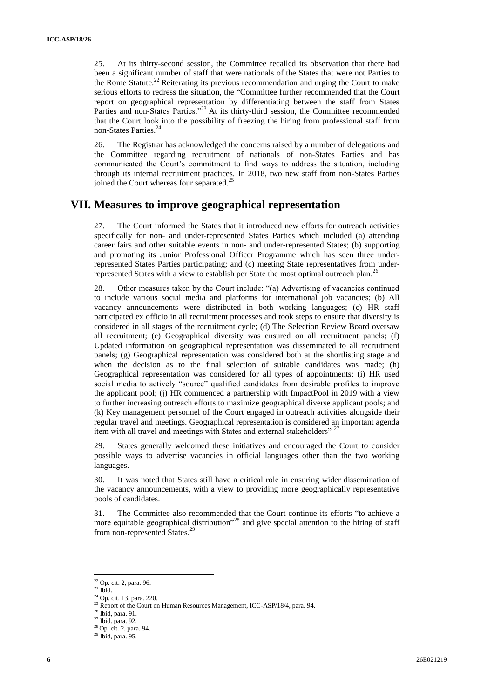25. At its thirty-second session, the Committee recalled its observation that there had been a significant number of staff that were nationals of the States that were not Parties to the Rome Statute.<sup>22</sup> Reiterating its previous recommendation and urging the Court to make serious efforts to redress the situation, the "Committee further recommended that the Court report on geographical representation by differentiating between the staff from States Parties and non-States Parties."<sup>23</sup> At its thirty-third session, the Committee recommended that the Court look into the possibility of freezing the hiring from professional staff from non-States Parties.<sup>24</sup>

26. The Registrar has acknowledged the concerns raised by a number of delegations and the Committee regarding recruitment of nationals of non-States Parties and has communicated the Court's commitment to find ways to address the situation, including through its internal recruitment practices. In 2018, two new staff from non-States Parties joined the Court whereas four separated.<sup>25</sup>

#### <span id="page-5-0"></span>**VII. Measures to improve geographical representation**

27. The Court informed the States that it introduced new efforts for outreach activities specifically for non- and under-represented States Parties which included (a) attending career fairs and other suitable events in non- and under-represented States; (b) supporting and promoting its Junior Professional Officer Programme which has seen three underrepresented States Parties participating; and (c) meeting State representatives from underrepresented States with a view to establish per State the most optimal outreach plan.<sup>26</sup>

28. Other measures taken by the Court include: "(a) Advertising of vacancies continued to include various social media and platforms for international job vacancies; (b) All vacancy announcements were distributed in both working languages; (c) HR staff participated ex officio in all recruitment processes and took steps to ensure that diversity is considered in all stages of the recruitment cycle; (d) The Selection Review Board oversaw all recruitment; (e) Geographical diversity was ensured on all recruitment panels; (f) Updated information on geographical representation was disseminated to all recruitment panels; (g) Geographical representation was considered both at the shortlisting stage and when the decision as to the final selection of suitable candidates was made; (h) Geographical representation was considered for all types of appointments; (i) HR used social media to actively "source" qualified candidates from desirable profiles to improve the applicant pool; (j) HR commenced a partnership with ImpactPool in 2019 with a view to further increasing outreach efforts to maximize geographical diverse applicant pools; and (k) Key management personnel of the Court engaged in outreach activities alongside their regular travel and meetings. Geographical representation is considered an important agenda item with all travel and meetings with States and external stakeholders"<sup>27</sup>

29. States generally welcomed these initiatives and encouraged the Court to consider possible ways to advertise vacancies in official languages other than the two working languages.

30. It was noted that States still have a critical role in ensuring wider dissemination of the vacancy announcements, with a view to providing more geographically representative pools of candidates.

31. The Committee also recommended that the Court continue its efforts "to achieve a more equitable geographical distribution<sup>228</sup> and give special attention to the hiring of staff from non-represented States.<sup>29</sup>

 $22$  Op. cit. 2, para. 96.

 $^{\rm 23}$  Ibid.

<sup>24</sup> Op. cit. 13, para. 220.

<sup>&</sup>lt;sup>25</sup> Report of the Court on Human Resources Management, ICC-ASP/18/4, para. 94.

<sup>26</sup> Ibid, para. 91.

 $27$  Ibid. para. 92.

<sup>28</sup> Op. cit. 2, para. 94.

<sup>29</sup> Ibid, para. 95.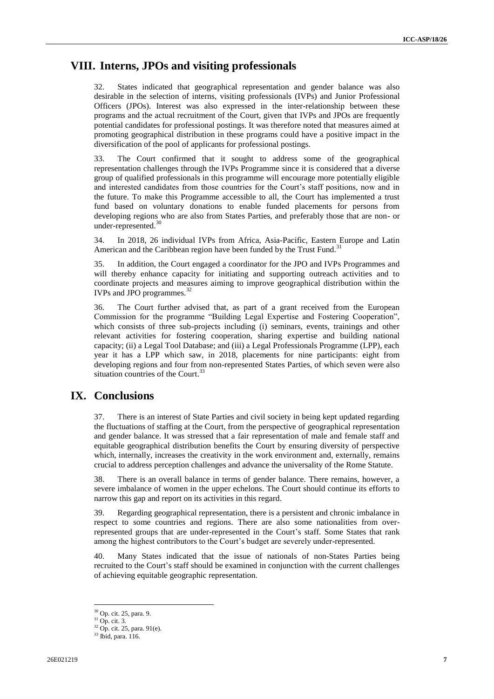### <span id="page-6-0"></span>**VIII. Interns, JPOs and visiting professionals**

32. States indicated that geographical representation and gender balance was also desirable in the selection of interns, visiting professionals (IVPs) and Junior Professional Officers (JPOs). Interest was also expressed in the inter-relationship between these programs and the actual recruitment of the Court, given that IVPs and JPOs are frequently potential candidates for professional postings. It was therefore noted that measures aimed at promoting geographical distribution in these programs could have a positive impact in the diversification of the pool of applicants for professional postings.

33. The Court confirmed that it sought to address some of the geographical representation challenges through the IVPs Programme since it is considered that a diverse group of qualified professionals in this programme will encourage more potentially eligible and interested candidates from those countries for the Court's staff positions, now and in the future. To make this Programme accessible to all, the Court has implemented a trust fund based on voluntary donations to enable funded placements for persons from developing regions who are also from States Parties, and preferably those that are non- or under-represented.<sup>30</sup>

34. In 2018, 26 individual IVPs from Africa, Asia-Pacific, Eastern Europe and Latin American and the Caribbean region have been funded by the Trust Fund.<sup>31</sup>

35. In addition, the Court engaged a coordinator for the JPO and IVPs Programmes and will thereby enhance capacity for initiating and supporting outreach activities and to coordinate projects and measures aiming to improve geographical distribution within the IVPs and JPO programmes.<sup>32</sup>

36. The Court further advised that, as part of a grant received from the European Commission for the programme "Building Legal Expertise and Fostering Cooperation", which consists of three sub-projects including (i) seminars, events, trainings and other relevant activities for fostering cooperation, sharing expertise and building national capacity; (ii) a Legal Tool Database; and (iii) a Legal Professionals Programme (LPP), each year it has a LPP which saw, in 2018, placements for nine participants: eight from developing regions and four from non-represented States Parties, of which seven were also situation countries of the Court.<sup>33</sup>

## **IX. Conclusions**

37. There is an interest of State Parties and civil society in being kept updated regarding the fluctuations of staffing at the Court, from the perspective of geographical representation and gender balance. It was stressed that a fair representation of male and female staff and equitable geographical distribution benefits the Court by ensuring diversity of perspective which, internally, increases the creativity in the work environment and, externally, remains crucial to address perception challenges and advance the universality of the Rome Statute.

38. There is an overall balance in terms of gender balance. There remains, however, a severe imbalance of women in the upper echelons. The Court should continue its efforts to narrow this gap and report on its activities in this regard.

39. Regarding geographical representation, there is a persistent and chronic imbalance in respect to some countries and regions. There are also some nationalities from overrepresented groups that are under-represented in the Court's staff. Some States that rank among the highest contributors to the Court's budget are severely under-represented.

40. Many States indicated that the issue of nationals of non-States Parties being recruited to the Court's staff should be examined in conjunction with the current challenges of achieving equitable geographic representation.

<sup>30</sup> Op. cit. 25, para. 9.

<sup>31</sup> Op. cit. 3.

<sup>32</sup> Op. cit. 25, para. 91(e).

<sup>&</sup>lt;sup>33</sup> Ibid, para. 116.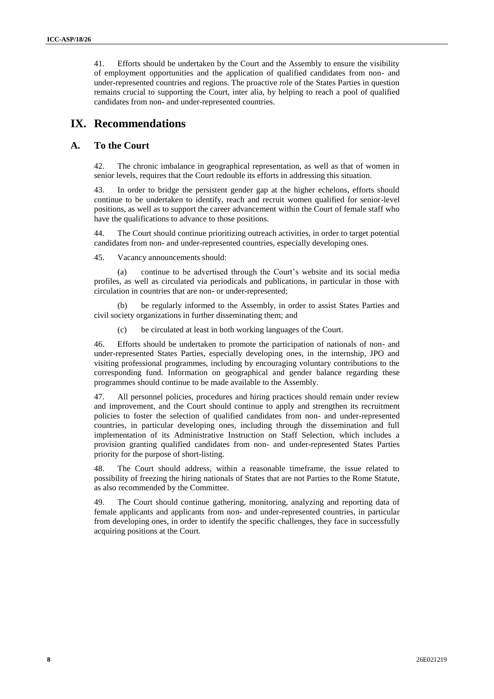41. Efforts should be undertaken by the Court and the Assembly to ensure the visibility of employment opportunities and the application of qualified candidates from non- and under-represented countries and regions. The proactive role of the States Parties in question remains crucial to supporting the Court, inter alia, by helping to reach a pool of qualified candidates from non- and under-represented countries.

### <span id="page-7-0"></span>**IX. Recommendations**

#### <span id="page-7-1"></span>**A. To the Court**

42. The chronic imbalance in geographical representation, as well as that of women in senior levels, requires that the Court redouble its efforts in addressing this situation.

43. In order to bridge the persistent gender gap at the higher echelons, efforts should continue to be undertaken to identify, reach and recruit women qualified for senior-level positions, as well as to support the career advancement within the Court of female staff who have the qualifications to advance to those positions.

44. The Court should continue prioritizing outreach activities, in order to target potential candidates from non- and under-represented countries, especially developing ones.

45. Vacancy announcements should:

(a) continue to be advertised through the Court's website and its social media profiles, as well as circulated via periodicals and publications, in particular in those with circulation in countries that are non- or under-represented;

be regularly informed to the Assembly, in order to assist States Parties and civil society organizations in further disseminating them; and

(c) be circulated at least in both working languages of the Court.

46. Efforts should be undertaken to promote the participation of nationals of non- and under-represented States Parties, especially developing ones, in the internship, JPO and visiting professional programmes, including by encouraging voluntary contributions to the corresponding fund. Information on geographical and gender balance regarding these programmes should continue to be made available to the Assembly.

47. All personnel policies, procedures and hiring practices should remain under review and improvement, and the Court should continue to apply and strengthen its recruitment policies to foster the selection of qualified candidates from non- and under-represented countries, in particular developing ones, including through the dissemination and full implementation of its Administrative Instruction on Staff Selection, which includes a provision granting qualified candidates from non- and under-represented States Parties priority for the purpose of short-listing.

The Court should address, within a reasonable timeframe, the issue related to possibility of freezing the hiring nationals of States that are not Parties to the Rome Statute, as also recommended by the Committee.

49. The Court should continue gathering, monitoring, analyzing and reporting data of female applicants and applicants from non- and under-represented countries, in particular from developing ones, in order to identify the specific challenges, they face in successfully acquiring positions at the Court.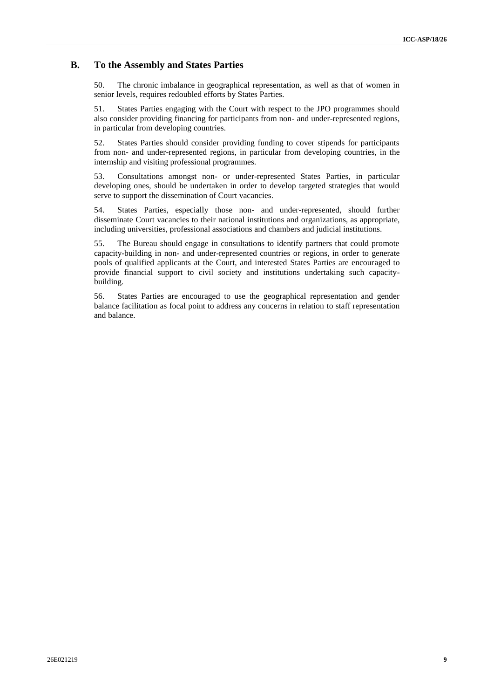#### <span id="page-8-0"></span>**B. To the Assembly and States Parties**

50. The chronic imbalance in geographical representation, as well as that of women in senior levels, requires redoubled efforts by States Parties.

51. States Parties engaging with the Court with respect to the JPO programmes should also consider providing financing for participants from non- and under-represented regions, in particular from developing countries.

52. States Parties should consider providing funding to cover stipends for participants from non- and under-represented regions, in particular from developing countries, in the internship and visiting professional programmes.

53. Consultations amongst non- or under-represented States Parties, in particular developing ones, should be undertaken in order to develop targeted strategies that would serve to support the dissemination of Court vacancies.

54. States Parties, especially those non- and under-represented, should further disseminate Court vacancies to their national institutions and organizations, as appropriate, including universities, professional associations and chambers and judicial institutions.

55. The Bureau should engage in consultations to identify partners that could promote capacity-building in non- and under-represented countries or regions, in order to generate pools of qualified applicants at the Court, and interested States Parties are encouraged to provide financial support to civil society and institutions undertaking such capacitybuilding.

56. States Parties are encouraged to use the geographical representation and gender balance facilitation as focal point to address any concerns in relation to staff representation and balance.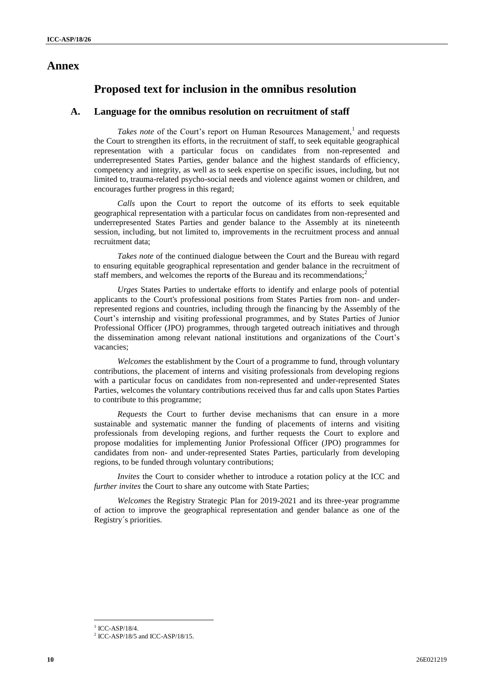#### <span id="page-9-0"></span>**Annex**

### **Proposed text for inclusion in the omnibus resolution**

#### **A. Language for the omnibus resolution on recruitment of staff**

Takes note of the Court's report on Human Resources Management,<sup>1</sup> and requests the Court to strengthen its efforts, in the recruitment of staff, to seek equitable geographical representation with a particular focus on candidates from non-represented and underrepresented States Parties, gender balance and the highest standards of efficiency, competency and integrity, as well as to seek expertise on specific issues, including, but not limited to, trauma-related psycho-social needs and violence against women or children, and encourages further progress in this regard;

*Calls* upon the Court to report the outcome of its efforts to seek equitable geographical representation with a particular focus on candidates from non-represented and underrepresented States Parties and gender balance to the Assembly at its nineteenth session, including, but not limited to, improvements in the recruitment process and annual recruitment data;

*Takes note* of the continued dialogue between the Court and the Bureau with regard to ensuring equitable geographical representation and gender balance in the recruitment of staff members, and welcomes the reports of the Bureau and its recommendations;<sup>2</sup>

*Urges* States Parties to undertake efforts to identify and enlarge pools of potential applicants to the Court's professional positions from States Parties from non- and underrepresented regions and countries, including through the financing by the Assembly of the Court's internship and visiting professional programmes, and by States Parties of Junior Professional Officer (JPO) programmes, through targeted outreach initiatives and through the dissemination among relevant national institutions and organizations of the Court's vacancies;

*Welcomes* the establishment by the Court of a programme to fund, through voluntary contributions, the placement of interns and visiting professionals from developing regions with a particular focus on candidates from non-represented and under-represented States Parties, welcomes the voluntary contributions received thus far and calls upon States Parties to contribute to this programme;

*Requests* the Court to further devise mechanisms that can ensure in a more sustainable and systematic manner the funding of placements of interns and visiting professionals from developing regions, and further requests the Court to explore and propose modalities for implementing Junior Professional Officer (JPO) programmes for candidates from non- and under-represented States Parties, particularly from developing regions, to be funded through voluntary contributions;

*Invites* the Court to consider whether to introduce a rotation policy at the ICC and *further invites the Court to share any outcome with State Parties;* 

*Welcomes* the Registry Strategic Plan for 2019-2021 and its three-year programme of action to improve the geographical representation and gender balance as one of the Registry´s priorities.

 $1$  ICC-ASP/18/4.

<sup>&</sup>lt;sup>2</sup> ICC-ASP/18/5 and ICC-ASP/18/15.